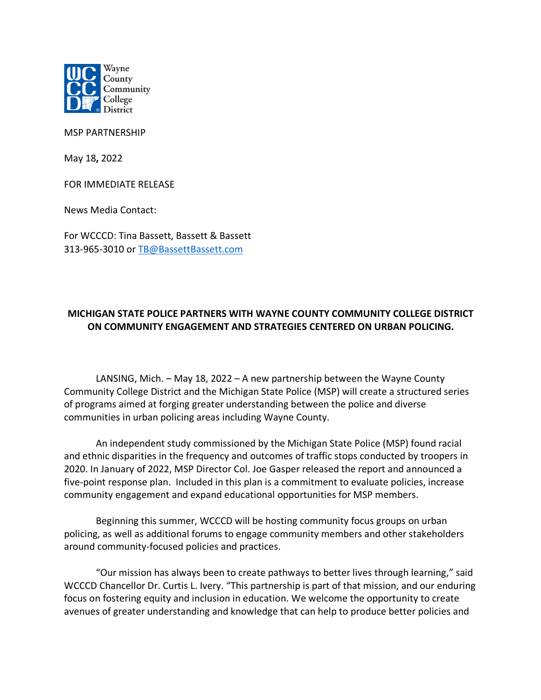

MSP PARTNERSHIP

May 18**,** 2022

FOR IMMEDIATE RELEASE

News Media Contact:

For WCCCD: Tina Bassett, Bassett & Bassett 313-965-3010 or TB@BassettBassett.com

## **MICHIGAN STATE POLICE PARTNERS WITH WAYNE COUNTY COMMUNITY COLLEGE DISTRICT ON COMMUNITY ENGAGEMENT AND STRATEGIES CENTERED ON URBAN POLICING.**

LANSING, Mich. – May 18, 2022 – A new partnership between the Wayne County Community College District and the Michigan State Police (MSP) will create a structured series of programs aimed at forging greater understanding between the police and diverse communities in urban policing areas including Wayne County.

An independent study commissioned by the Michigan State Police (MSP) found racial and ethnic disparities in the frequency and outcomes of traffic stops conducted by troopers in 2020. In January of 2022, MSP Director Col. Joe Gasper released the report and announced a five-point response plan. Included in this plan is a commitment to evaluate policies, increase community engagement and expand educational opportunities for MSP members.

Beginning this summer, WCCCD will be hosting community focus groups on urban policing, as well as additional forums to engage community members and other stakeholders around community-focused policies and practices.

"Our mission has always been to create pathways to better lives through learning," said WCCCD Chancellor Dr. Curtis L. Ivery. "This partnership is part of that mission, and our enduring focus on fostering equity and inclusion in education. We welcome the opportunity to create avenues of greater understanding and knowledge that can help to produce better policies and